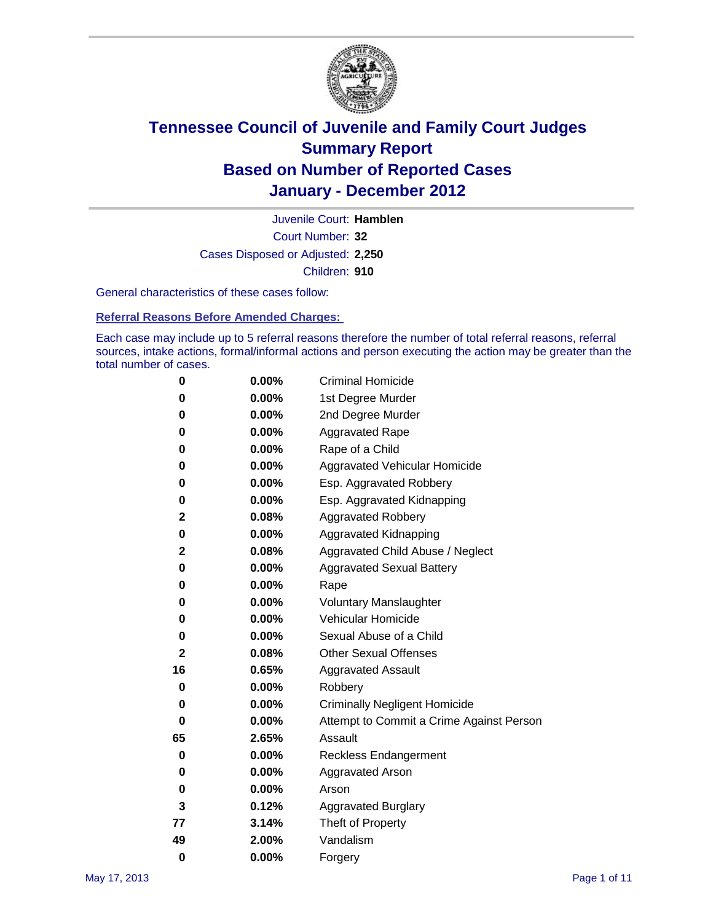

Court Number: **32** Juvenile Court: **Hamblen** Cases Disposed or Adjusted: **2,250** Children: **910**

General characteristics of these cases follow:

**Referral Reasons Before Amended Charges:** 

Each case may include up to 5 referral reasons therefore the number of total referral reasons, referral sources, intake actions, formal/informal actions and person executing the action may be greater than the total number of cases.

| 0  | 0.00%    | <b>Criminal Homicide</b>                 |
|----|----------|------------------------------------------|
| 0  | 0.00%    | 1st Degree Murder                        |
| 0  | 0.00%    | 2nd Degree Murder                        |
| 0  | 0.00%    | <b>Aggravated Rape</b>                   |
| 0  | 0.00%    | Rape of a Child                          |
| 0  | 0.00%    | Aggravated Vehicular Homicide            |
| 0  | 0.00%    | Esp. Aggravated Robbery                  |
| 0  | 0.00%    | Esp. Aggravated Kidnapping               |
| 2  | 0.08%    | <b>Aggravated Robbery</b>                |
| 0  | 0.00%    | Aggravated Kidnapping                    |
| 2  | 0.08%    | Aggravated Child Abuse / Neglect         |
| 0  | 0.00%    | <b>Aggravated Sexual Battery</b>         |
| 0  | 0.00%    | Rape                                     |
| 0  | $0.00\%$ | <b>Voluntary Manslaughter</b>            |
| 0  | 0.00%    | Vehicular Homicide                       |
| 0  | 0.00%    | Sexual Abuse of a Child                  |
| 2  | 0.08%    | <b>Other Sexual Offenses</b>             |
| 16 | 0.65%    | <b>Aggravated Assault</b>                |
| 0  | $0.00\%$ | Robbery                                  |
| 0  | 0.00%    | <b>Criminally Negligent Homicide</b>     |
| 0  | 0.00%    | Attempt to Commit a Crime Against Person |
| 65 | 2.65%    | Assault                                  |
| 0  | 0.00%    | <b>Reckless Endangerment</b>             |
| 0  | 0.00%    | <b>Aggravated Arson</b>                  |
| 0  | 0.00%    | Arson                                    |
| 3  | 0.12%    | <b>Aggravated Burglary</b>               |
| 77 | 3.14%    | Theft of Property                        |
| 49 | 2.00%    | Vandalism                                |
| 0  | 0.00%    | Forgery                                  |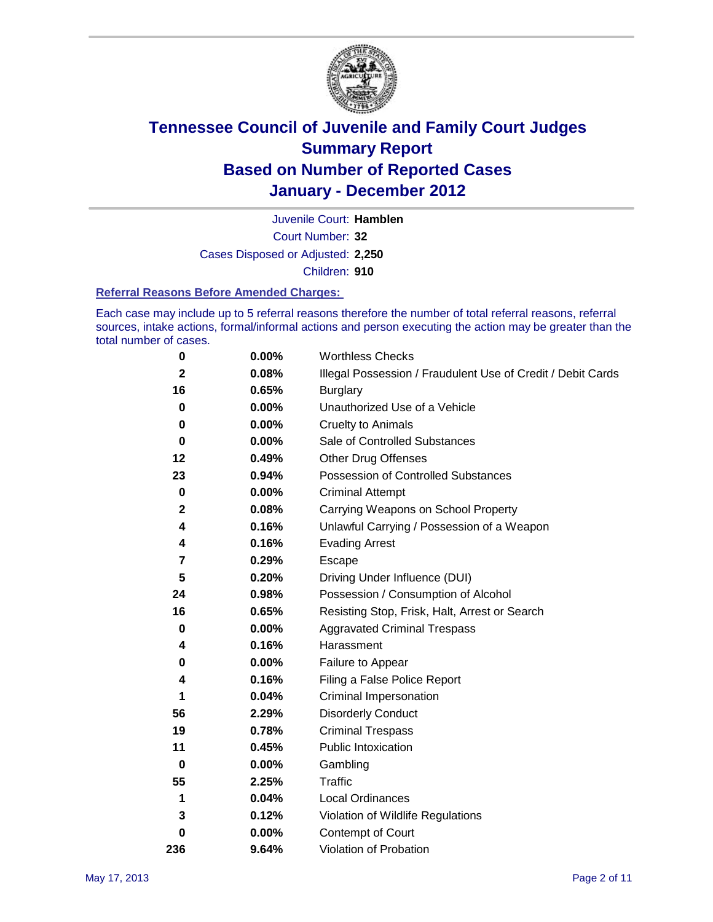

Court Number: **32** Juvenile Court: **Hamblen** Cases Disposed or Adjusted: **2,250** Children: **910**

#### **Referral Reasons Before Amended Charges:**

Each case may include up to 5 referral reasons therefore the number of total referral reasons, referral sources, intake actions, formal/informal actions and person executing the action may be greater than the total number of cases.

| $\pmb{0}$      | 0.00%    | <b>Worthless Checks</b>                                     |
|----------------|----------|-------------------------------------------------------------|
| $\mathbf{2}$   | 0.08%    | Illegal Possession / Fraudulent Use of Credit / Debit Cards |
| 16             | 0.65%    | <b>Burglary</b>                                             |
| $\bf{0}$       | $0.00\%$ | Unauthorized Use of a Vehicle                               |
| 0              | $0.00\%$ | <b>Cruelty to Animals</b>                                   |
| $\bf{0}$       | $0.00\%$ | Sale of Controlled Substances                               |
| 12             | 0.49%    | <b>Other Drug Offenses</b>                                  |
| 23             | 0.94%    | Possession of Controlled Substances                         |
| $\pmb{0}$      | $0.00\%$ | <b>Criminal Attempt</b>                                     |
| $\mathbf 2$    | 0.08%    | Carrying Weapons on School Property                         |
| 4              | 0.16%    | Unlawful Carrying / Possession of a Weapon                  |
| 4              | 0.16%    | <b>Evading Arrest</b>                                       |
| $\overline{7}$ | 0.29%    | Escape                                                      |
| 5              | 0.20%    | Driving Under Influence (DUI)                               |
| 24             | 0.98%    | Possession / Consumption of Alcohol                         |
| 16             | 0.65%    | Resisting Stop, Frisk, Halt, Arrest or Search               |
| $\mathbf 0$    | $0.00\%$ | <b>Aggravated Criminal Trespass</b>                         |
| 4              | 0.16%    | Harassment                                                  |
| 0              | 0.00%    | Failure to Appear                                           |
| 4              | 0.16%    | Filing a False Police Report                                |
| 1              | 0.04%    | Criminal Impersonation                                      |
| 56             | 2.29%    | <b>Disorderly Conduct</b>                                   |
| 19             | 0.78%    | <b>Criminal Trespass</b>                                    |
| 11             | 0.45%    | <b>Public Intoxication</b>                                  |
| $\mathbf 0$    | $0.00\%$ | Gambling                                                    |
| 55             | 2.25%    | <b>Traffic</b>                                              |
| 1              | 0.04%    | Local Ordinances                                            |
| 3              | 0.12%    | Violation of Wildlife Regulations                           |
| 0              | $0.00\%$ | Contempt of Court                                           |
| 236            | 9.64%    | Violation of Probation                                      |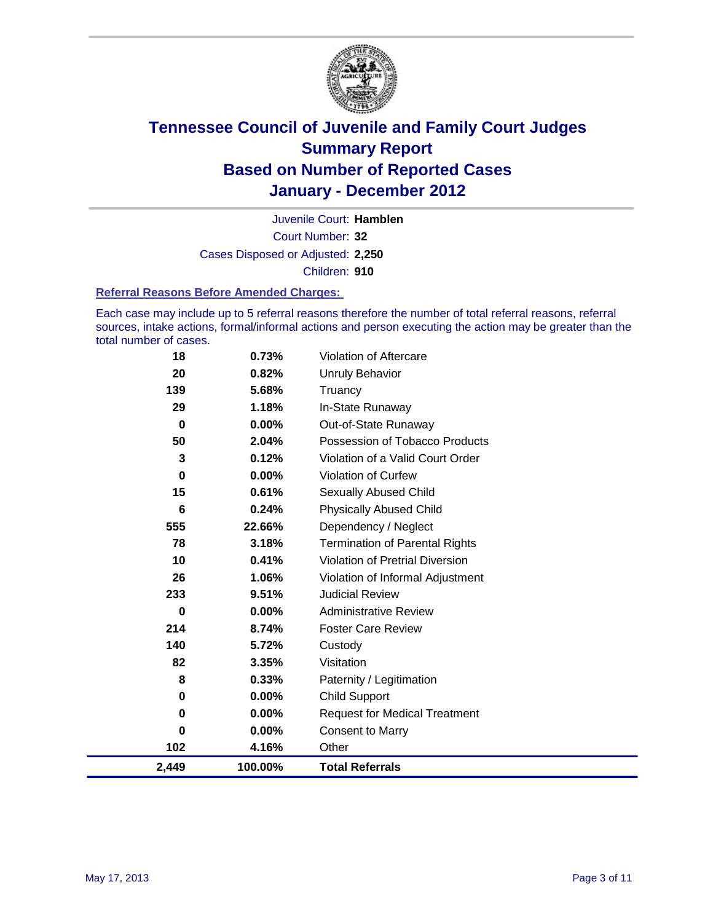

Court Number: **32** Juvenile Court: **Hamblen** Cases Disposed or Adjusted: **2,250** Children: **910**

#### **Referral Reasons Before Amended Charges:**

Each case may include up to 5 referral reasons therefore the number of total referral reasons, referral sources, intake actions, formal/informal actions and person executing the action may be greater than the total number of cases.

| 18          | 0.73%    | Violation of Aftercare                 |
|-------------|----------|----------------------------------------|
| 20          | 0.82%    | <b>Unruly Behavior</b>                 |
| 139         | 5.68%    | Truancy                                |
| 29          | 1.18%    | In-State Runaway                       |
| $\mathbf 0$ | $0.00\%$ | Out-of-State Runaway                   |
| 50          | 2.04%    | Possession of Tobacco Products         |
| 3           | 0.12%    | Violation of a Valid Court Order       |
| 0           | $0.00\%$ | <b>Violation of Curfew</b>             |
| 15          | 0.61%    | Sexually Abused Child                  |
| 6           | 0.24%    | <b>Physically Abused Child</b>         |
| 555         | 22.66%   | Dependency / Neglect                   |
| 78          | 3.18%    | <b>Termination of Parental Rights</b>  |
| 10          | 0.41%    | <b>Violation of Pretrial Diversion</b> |
| 26          | 1.06%    | Violation of Informal Adjustment       |
| 233         | 9.51%    | <b>Judicial Review</b>                 |
| 0           | $0.00\%$ | <b>Administrative Review</b>           |
| 214         | 8.74%    | <b>Foster Care Review</b>              |
| 140         | 5.72%    | Custody                                |
| 82          | 3.35%    | Visitation                             |
| 8           | 0.33%    | Paternity / Legitimation               |
| 0           | 0.00%    | <b>Child Support</b>                   |
| 0           | $0.00\%$ | <b>Request for Medical Treatment</b>   |
| 0           | $0.00\%$ | <b>Consent to Marry</b>                |
| 102         | 4.16%    | Other                                  |
| 2,449       | 100.00%  | <b>Total Referrals</b>                 |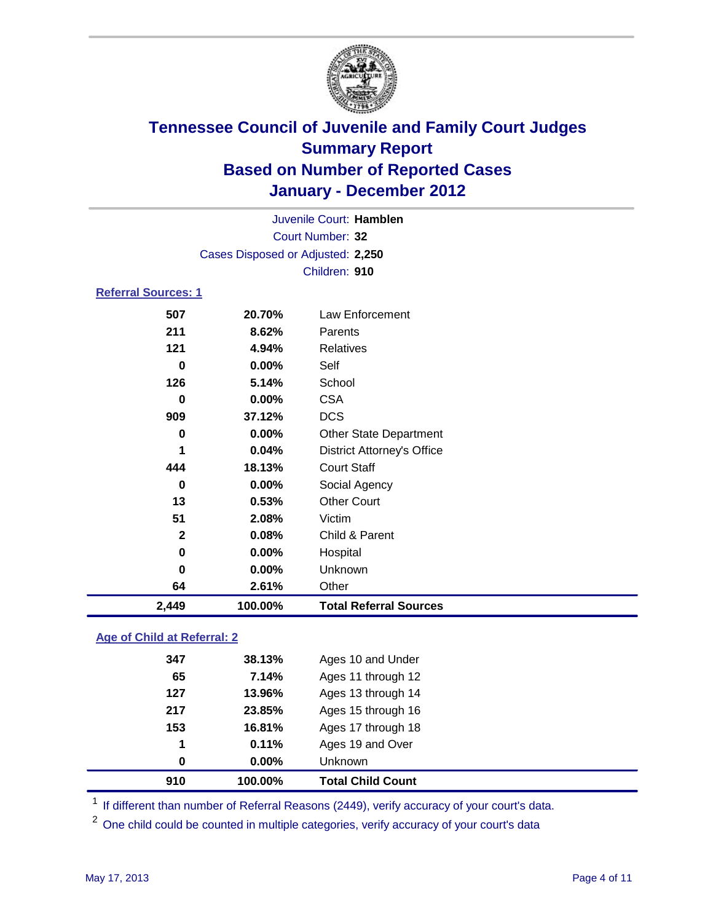

|                            |                                   | Juvenile Court: Hamblen           |  |
|----------------------------|-----------------------------------|-----------------------------------|--|
| Court Number: 32           |                                   |                                   |  |
|                            | Cases Disposed or Adjusted: 2,250 |                                   |  |
|                            |                                   | Children: 910                     |  |
| <b>Referral Sources: 1</b> |                                   |                                   |  |
| 507                        | 20.70%                            | Law Enforcement                   |  |
| 211                        | 8.62%                             | Parents                           |  |
| 121                        | 4.94%                             | Relatives                         |  |
| 0                          | $0.00\%$                          | Self                              |  |
| 126                        | 5.14%                             | School                            |  |
| 0                          | $0.00\%$                          | <b>CSA</b>                        |  |
| 909                        | 37.12%                            | <b>DCS</b>                        |  |
| 0                          | 0.00%                             | <b>Other State Department</b>     |  |
| 1                          | 0.04%                             | <b>District Attorney's Office</b> |  |
| 444                        | 18.13%                            | <b>Court Staff</b>                |  |
| $\bf{0}$                   | 0.00%                             | Social Agency                     |  |
| 13                         | 0.53%                             | <b>Other Court</b>                |  |
| 51                         | 2.08%                             | Victim                            |  |
| $\mathbf{2}$               | 0.08%                             | Child & Parent                    |  |
| 0                          | 0.00%                             | Hospital                          |  |
| $\bf{0}$                   | 0.00%                             | Unknown                           |  |
| 64                         | 2.61%                             | Other                             |  |
| 2,449                      | 100.00%                           | <b>Total Referral Sources</b>     |  |
|                            |                                   |                                   |  |

### **Age of Child at Referral: 2**

| 910 | 100.00% | <b>Total Child Count</b> |
|-----|---------|--------------------------|
| 0   | 0.00%   | <b>Unknown</b>           |
| 1   | 0.11%   | Ages 19 and Over         |
| 153 | 16.81%  | Ages 17 through 18       |
| 217 | 23.85%  | Ages 15 through 16       |
| 127 | 13.96%  | Ages 13 through 14       |
| 65  | 7.14%   | Ages 11 through 12       |
| 347 | 38.13%  | Ages 10 and Under        |
|     |         |                          |

<sup>1</sup> If different than number of Referral Reasons (2449), verify accuracy of your court's data.

<sup>2</sup> One child could be counted in multiple categories, verify accuracy of your court's data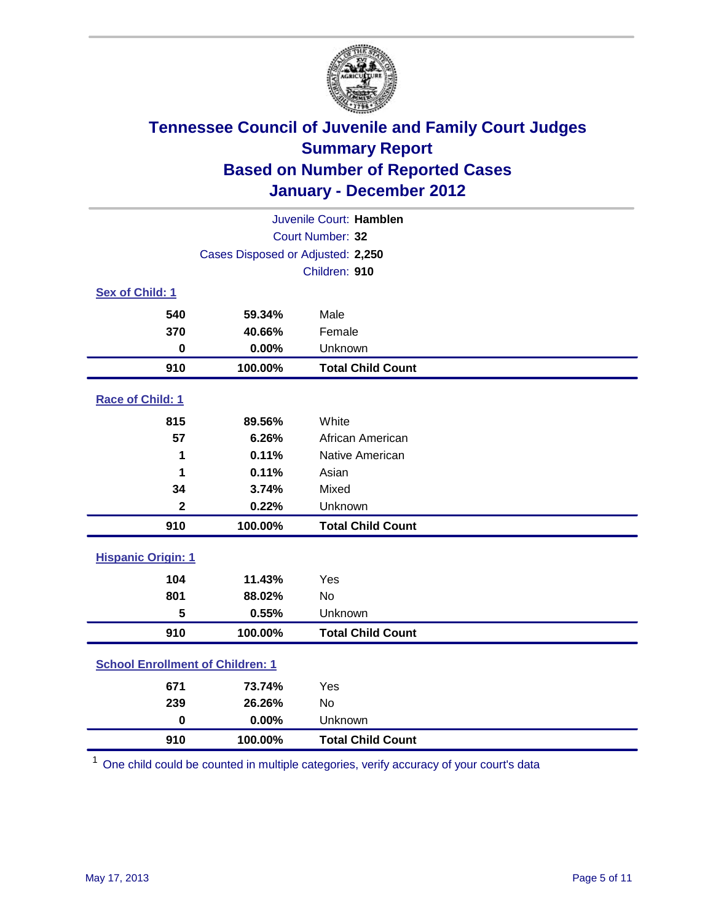

| Juvenile Court: Hamblen                 |                                   |                          |  |  |
|-----------------------------------------|-----------------------------------|--------------------------|--|--|
| Court Number: 32                        |                                   |                          |  |  |
|                                         | Cases Disposed or Adjusted: 2,250 |                          |  |  |
|                                         |                                   | Children: 910            |  |  |
| Sex of Child: 1                         |                                   |                          |  |  |
| 540                                     | 59.34%                            | Male                     |  |  |
| 370                                     | 40.66%                            | Female                   |  |  |
| $\mathbf 0$                             | 0.00%                             | Unknown                  |  |  |
| 910                                     | 100.00%                           | <b>Total Child Count</b> |  |  |
| Race of Child: 1                        |                                   |                          |  |  |
| 815                                     | 89.56%                            | White                    |  |  |
| 57                                      | 6.26%                             | African American         |  |  |
| 1                                       | 0.11%                             | Native American          |  |  |
| 1                                       | 0.11%                             | Asian                    |  |  |
| 34                                      | 3.74%                             | Mixed                    |  |  |
| $\mathbf{2}$                            | 0.22%                             | Unknown                  |  |  |
| 910                                     | 100.00%                           | <b>Total Child Count</b> |  |  |
| <b>Hispanic Origin: 1</b>               |                                   |                          |  |  |
| 104                                     | 11.43%                            | Yes                      |  |  |
| 801                                     | 88.02%                            | No                       |  |  |
| 5                                       | 0.55%                             | Unknown                  |  |  |
| 910                                     | 100.00%                           | <b>Total Child Count</b> |  |  |
| <b>School Enrollment of Children: 1</b> |                                   |                          |  |  |
| 671                                     | 73.74%                            | Yes                      |  |  |
| 239                                     | 26.26%                            | No                       |  |  |
| $\mathbf 0$                             | 0.00%                             | Unknown                  |  |  |
| 910                                     | 100.00%                           | <b>Total Child Count</b> |  |  |

One child could be counted in multiple categories, verify accuracy of your court's data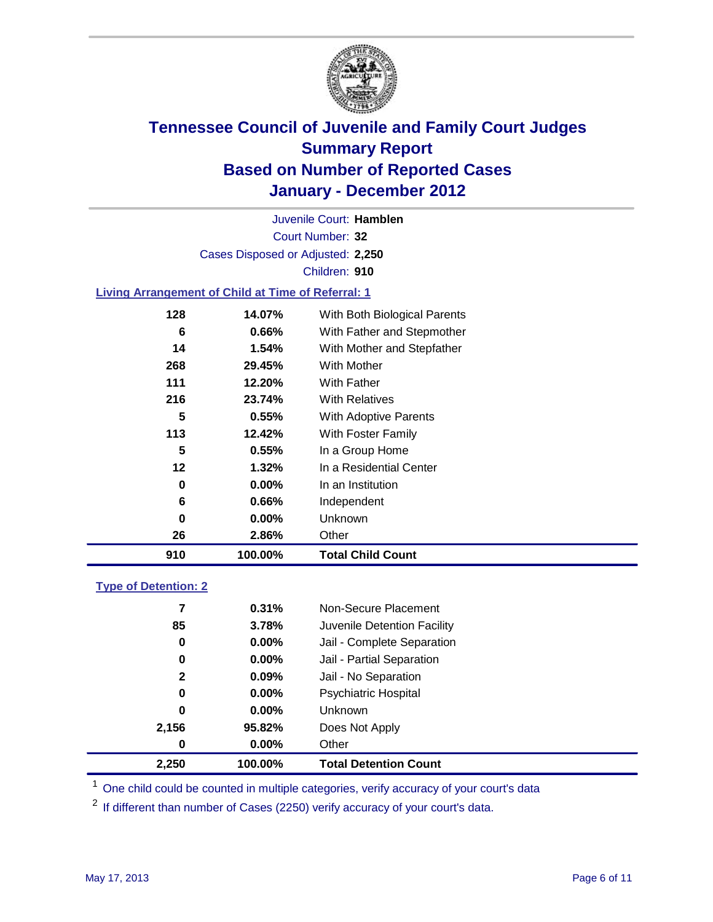

Court Number: **32** Juvenile Court: **Hamblen** Cases Disposed or Adjusted: **2,250** Children: **910**

### **Living Arrangement of Child at Time of Referral: 1**

| 910 | 100.00%  | <b>Total Child Count</b>     |
|-----|----------|------------------------------|
| 26  | 2.86%    | Other                        |
| 0   | $0.00\%$ | <b>Unknown</b>               |
| 6   | 0.66%    | Independent                  |
| 0   | $0.00\%$ | In an Institution            |
| 12  | $1.32\%$ | In a Residential Center      |
| 5   | 0.55%    | In a Group Home              |
| 113 | 12.42%   | With Foster Family           |
| 5   | 0.55%    | With Adoptive Parents        |
| 216 | 23.74%   | <b>With Relatives</b>        |
| 111 | 12.20%   | With Father                  |
| 268 | 29.45%   | With Mother                  |
| 14  | 1.54%    | With Mother and Stepfather   |
| 6   | $0.66\%$ | With Father and Stepmother   |
| 128 | 14.07%   | With Both Biological Parents |
|     |          |                              |

### **Type of Detention: 2**

| 2,250            | 100.00%  | <b>Total Detention Count</b> |
|------------------|----------|------------------------------|
| $\boldsymbol{0}$ | $0.00\%$ | Other                        |
| 2,156            | 95.82%   | Does Not Apply               |
| 0                | $0.00\%$ | Unknown                      |
| 0                | $0.00\%$ | <b>Psychiatric Hospital</b>  |
| $\mathbf{2}$     | 0.09%    | Jail - No Separation         |
| 0                | $0.00\%$ | Jail - Partial Separation    |
| 0                | 0.00%    | Jail - Complete Separation   |
| 85               | 3.78%    | Juvenile Detention Facility  |
| 7                | 0.31%    | Non-Secure Placement         |
|                  |          |                              |

<sup>1</sup> One child could be counted in multiple categories, verify accuracy of your court's data

<sup>2</sup> If different than number of Cases (2250) verify accuracy of your court's data.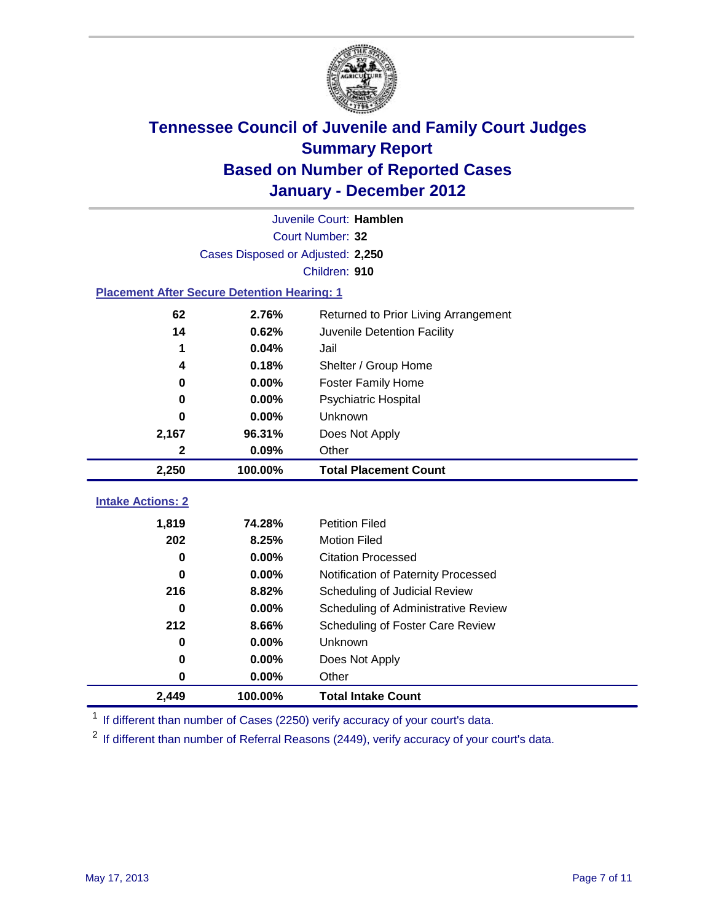

|                                                    | Juvenile Court: Hamblen           |                                      |  |  |  |
|----------------------------------------------------|-----------------------------------|--------------------------------------|--|--|--|
|                                                    | Court Number: 32                  |                                      |  |  |  |
|                                                    | Cases Disposed or Adjusted: 2,250 |                                      |  |  |  |
|                                                    |                                   | Children: 910                        |  |  |  |
| <b>Placement After Secure Detention Hearing: 1</b> |                                   |                                      |  |  |  |
| 62                                                 | 2.76%                             | Returned to Prior Living Arrangement |  |  |  |
| 14                                                 | 0.62%                             | Juvenile Detention Facility          |  |  |  |
| 1                                                  | 0.04%                             | Jail                                 |  |  |  |
| 4                                                  | 0.18%                             | Shelter / Group Home                 |  |  |  |
| 0                                                  | 0.00%                             | <b>Foster Family Home</b>            |  |  |  |
| 0                                                  | 0.00%                             | Psychiatric Hospital                 |  |  |  |
| 0                                                  | 0.00%                             | Unknown                              |  |  |  |
| 2,167                                              | 96.31%                            | Does Not Apply                       |  |  |  |
| $\mathbf{2}$                                       | 0.09%                             | Other                                |  |  |  |
| 2,250                                              | 100.00%                           | <b>Total Placement Count</b>         |  |  |  |
| <b>Intake Actions: 2</b>                           |                                   |                                      |  |  |  |
|                                                    |                                   |                                      |  |  |  |
| 1,819                                              | 74.28%                            | <b>Petition Filed</b>                |  |  |  |
| 202                                                | 8.25%                             | <b>Motion Filed</b>                  |  |  |  |
| $\bf{0}$                                           | 0.00%                             | <b>Citation Processed</b>            |  |  |  |
| 0                                                  | 0.00%                             | Notification of Paternity Processed  |  |  |  |
| 216                                                | 8.82%                             | Scheduling of Judicial Review        |  |  |  |
| $\bf{0}$                                           | 0.00%                             | Scheduling of Administrative Review  |  |  |  |
| 212                                                | 8.66%                             | Scheduling of Foster Care Review     |  |  |  |
| $\bf{0}$                                           | 0.00%                             | Unknown                              |  |  |  |
| 0                                                  | 0.00%                             | Does Not Apply                       |  |  |  |
| 0                                                  | 0.00%                             | Other                                |  |  |  |
| 2,449                                              | 100.00%                           | <b>Total Intake Count</b>            |  |  |  |

<sup>1</sup> If different than number of Cases (2250) verify accuracy of your court's data.

<sup>2</sup> If different than number of Referral Reasons (2449), verify accuracy of your court's data.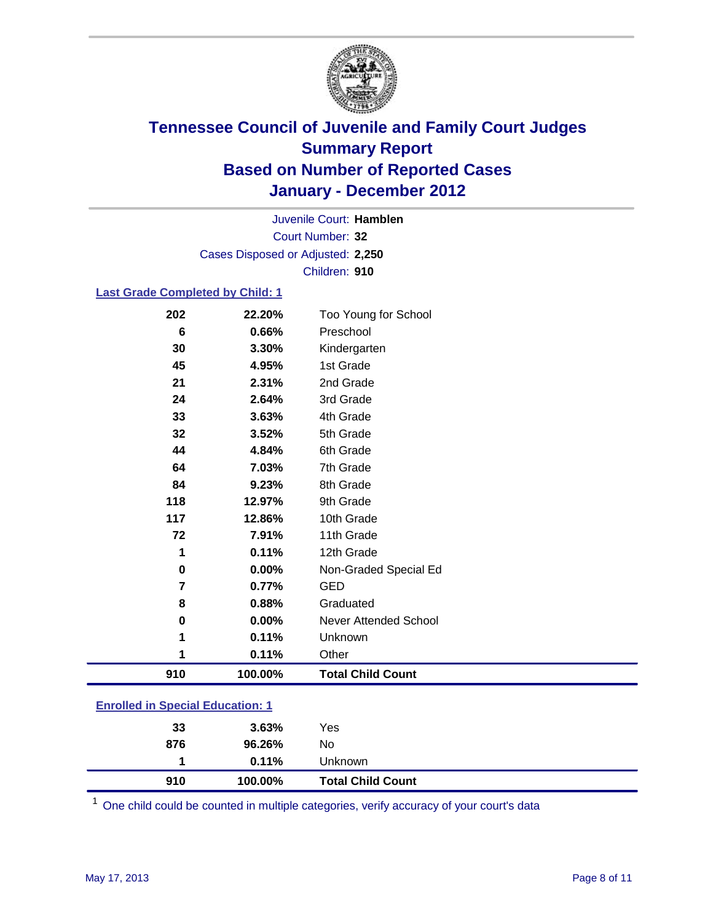

Court Number: **32** Juvenile Court: **Hamblen** Cases Disposed or Adjusted: **2,250** Children: **910**

### **Last Grade Completed by Child: 1**

| <b>Enrolled in Special Education: 1</b> |         |                          |  |
|-----------------------------------------|---------|--------------------------|--|
| 910                                     | 100.00% | <b>Total Child Count</b> |  |
| 1                                       | 0.11%   | Other                    |  |
| 1                                       | 0.11%   | Unknown                  |  |
| 0                                       | 0.00%   | Never Attended School    |  |
| 8                                       | 0.88%   | Graduated                |  |
| 7                                       | 0.77%   | <b>GED</b>               |  |
| $\mathbf 0$                             | 0.00%   | Non-Graded Special Ed    |  |
| 1                                       | 0.11%   | 12th Grade               |  |
| 72                                      | 7.91%   | 11th Grade               |  |
| 117                                     | 12.86%  | 10th Grade               |  |
| 118                                     | 12.97%  | 9th Grade                |  |
| 84                                      | 9.23%   | 8th Grade                |  |
| 64                                      | 7.03%   | 7th Grade                |  |
| 44                                      | 4.84%   | 6th Grade                |  |
| 32                                      | 3.52%   | 5th Grade                |  |
| 33                                      | 3.63%   | 4th Grade                |  |
| 24                                      | 2.64%   | 3rd Grade                |  |
| 21                                      | 2.31%   | 2nd Grade                |  |
| 45                                      | 4.95%   | 1st Grade                |  |
| 30                                      | 3.30%   | Kindergarten             |  |
| $6\phantom{1}6$                         | 0.66%   | Preschool                |  |
| 202                                     | 22.20%  | Too Young for School     |  |

| 910 | 100.00%  | <b>Total Child Count</b> |
|-----|----------|--------------------------|
|     | $0.11\%$ | <b>Unknown</b>           |
| 876 | 96.26%   | No                       |
| 33  | 3.63%    | Yes                      |
|     |          |                          |

One child could be counted in multiple categories, verify accuracy of your court's data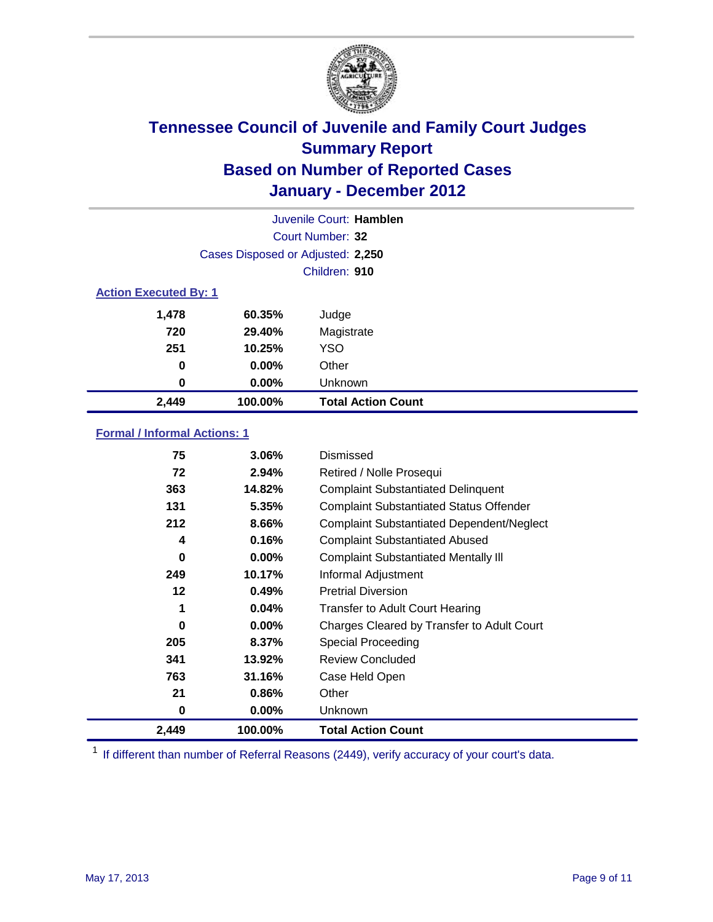

|                              | Juvenile Court: Hamblen           |                           |  |  |  |
|------------------------------|-----------------------------------|---------------------------|--|--|--|
|                              | Court Number: 32                  |                           |  |  |  |
|                              | Cases Disposed or Adjusted: 2,250 |                           |  |  |  |
|                              | Children: 910                     |                           |  |  |  |
| <b>Action Executed By: 1</b> |                                   |                           |  |  |  |
| 1,478                        | 60.35%                            | Judge                     |  |  |  |
| 720                          | 29.40%                            | Magistrate                |  |  |  |
| 251                          | 10.25%                            | <b>YSO</b>                |  |  |  |
| 0                            | $0.00\%$                          | Other                     |  |  |  |
| 0                            | $0.00\%$                          | Unknown                   |  |  |  |
| 2,449                        | 100.00%                           | <b>Total Action Count</b> |  |  |  |

### **Formal / Informal Actions: 1**

| 75       | 3.06%    | Dismissed                                        |
|----------|----------|--------------------------------------------------|
| 72       | 2.94%    | Retired / Nolle Prosequi                         |
| 363      | 14.82%   | <b>Complaint Substantiated Delinquent</b>        |
| 131      | 5.35%    | <b>Complaint Substantiated Status Offender</b>   |
| 212      | 8.66%    | <b>Complaint Substantiated Dependent/Neglect</b> |
| 4        | 0.16%    | <b>Complaint Substantiated Abused</b>            |
| $\bf{0}$ | $0.00\%$ | <b>Complaint Substantiated Mentally III</b>      |
| 249      | 10.17%   | Informal Adjustment                              |
| 12       | 0.49%    | <b>Pretrial Diversion</b>                        |
| 1        | 0.04%    | <b>Transfer to Adult Court Hearing</b>           |
| 0        | $0.00\%$ | Charges Cleared by Transfer to Adult Court       |
| 205      | 8.37%    | <b>Special Proceeding</b>                        |
| 341      | 13.92%   | <b>Review Concluded</b>                          |
| 763      | 31.16%   | Case Held Open                                   |
| 21       | 0.86%    | Other                                            |
| 0        | $0.00\%$ | Unknown                                          |
| 2,449    | 100.00%  | <b>Total Action Count</b>                        |

<sup>1</sup> If different than number of Referral Reasons (2449), verify accuracy of your court's data.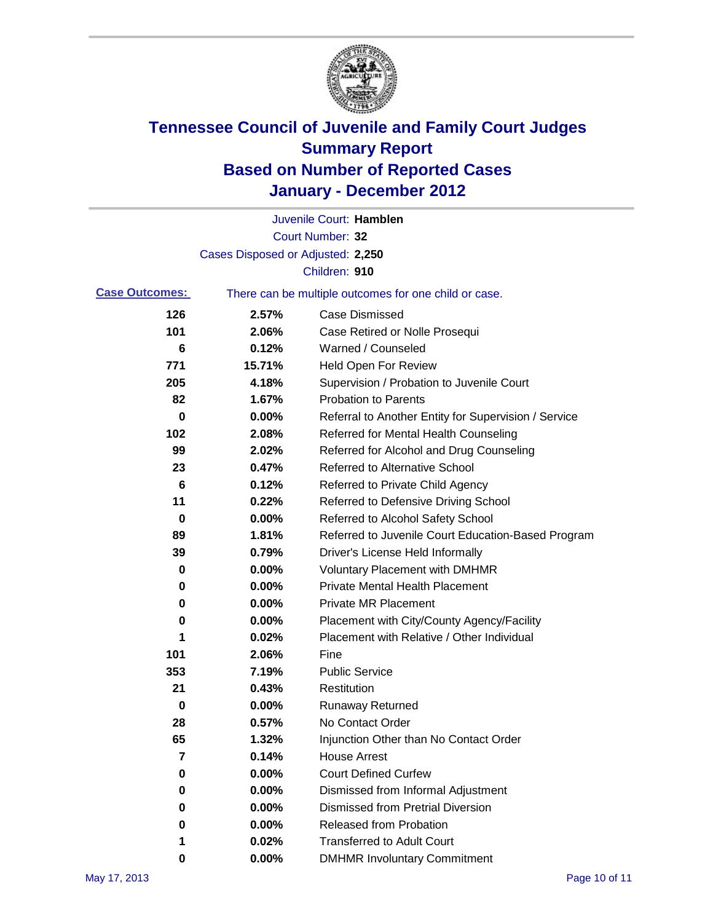

|                       |                                                       | Juvenile Court: Hamblen                              |  |
|-----------------------|-------------------------------------------------------|------------------------------------------------------|--|
|                       |                                                       | Court Number: 32                                     |  |
|                       | Cases Disposed or Adjusted: 2,250                     |                                                      |  |
|                       |                                                       | Children: 910                                        |  |
| <b>Case Outcomes:</b> | There can be multiple outcomes for one child or case. |                                                      |  |
| 126                   | 2.57%                                                 | <b>Case Dismissed</b>                                |  |
| 101                   | 2.06%                                                 | Case Retired or Nolle Prosequi                       |  |
| 6                     | 0.12%                                                 | Warned / Counseled                                   |  |
| 771                   | 15.71%                                                | Held Open For Review                                 |  |
| 205                   | 4.18%                                                 | Supervision / Probation to Juvenile Court            |  |
| 82                    | 1.67%                                                 | <b>Probation to Parents</b>                          |  |
| 0                     | 0.00%                                                 | Referral to Another Entity for Supervision / Service |  |
| 102                   | 2.08%                                                 | Referred for Mental Health Counseling                |  |
| 99                    | 2.02%                                                 | Referred for Alcohol and Drug Counseling             |  |
| 23                    | 0.47%                                                 | <b>Referred to Alternative School</b>                |  |
| 6                     | 0.12%                                                 | Referred to Private Child Agency                     |  |
| 11                    | 0.22%                                                 | Referred to Defensive Driving School                 |  |
| 0                     | 0.00%                                                 | Referred to Alcohol Safety School                    |  |
| 89                    | 1.81%                                                 | Referred to Juvenile Court Education-Based Program   |  |
| 39                    | 0.79%                                                 | Driver's License Held Informally                     |  |
| 0                     | 0.00%                                                 | <b>Voluntary Placement with DMHMR</b>                |  |
| 0                     | 0.00%                                                 | <b>Private Mental Health Placement</b>               |  |
| 0                     | 0.00%                                                 | <b>Private MR Placement</b>                          |  |
| 0                     | 0.00%                                                 | Placement with City/County Agency/Facility           |  |
| 1                     | 0.02%                                                 | Placement with Relative / Other Individual           |  |
| 101                   | 2.06%                                                 | Fine                                                 |  |
| 353                   | 7.19%                                                 | <b>Public Service</b>                                |  |
| 21                    | 0.43%                                                 | Restitution                                          |  |
| 0                     | 0.00%                                                 | <b>Runaway Returned</b>                              |  |
| 28                    | 0.57%                                                 | No Contact Order                                     |  |
| 65                    | 1.32%                                                 | Injunction Other than No Contact Order               |  |
| 7                     | 0.14%                                                 | <b>House Arrest</b>                                  |  |
| 0                     | 0.00%                                                 | <b>Court Defined Curfew</b>                          |  |
| 0                     | 0.00%                                                 | Dismissed from Informal Adjustment                   |  |
| 0                     | 0.00%                                                 | <b>Dismissed from Pretrial Diversion</b>             |  |
| 0                     | 0.00%                                                 | Released from Probation                              |  |
| 1                     | 0.02%                                                 | <b>Transferred to Adult Court</b>                    |  |
| 0                     | $0.00\%$                                              | <b>DMHMR Involuntary Commitment</b>                  |  |